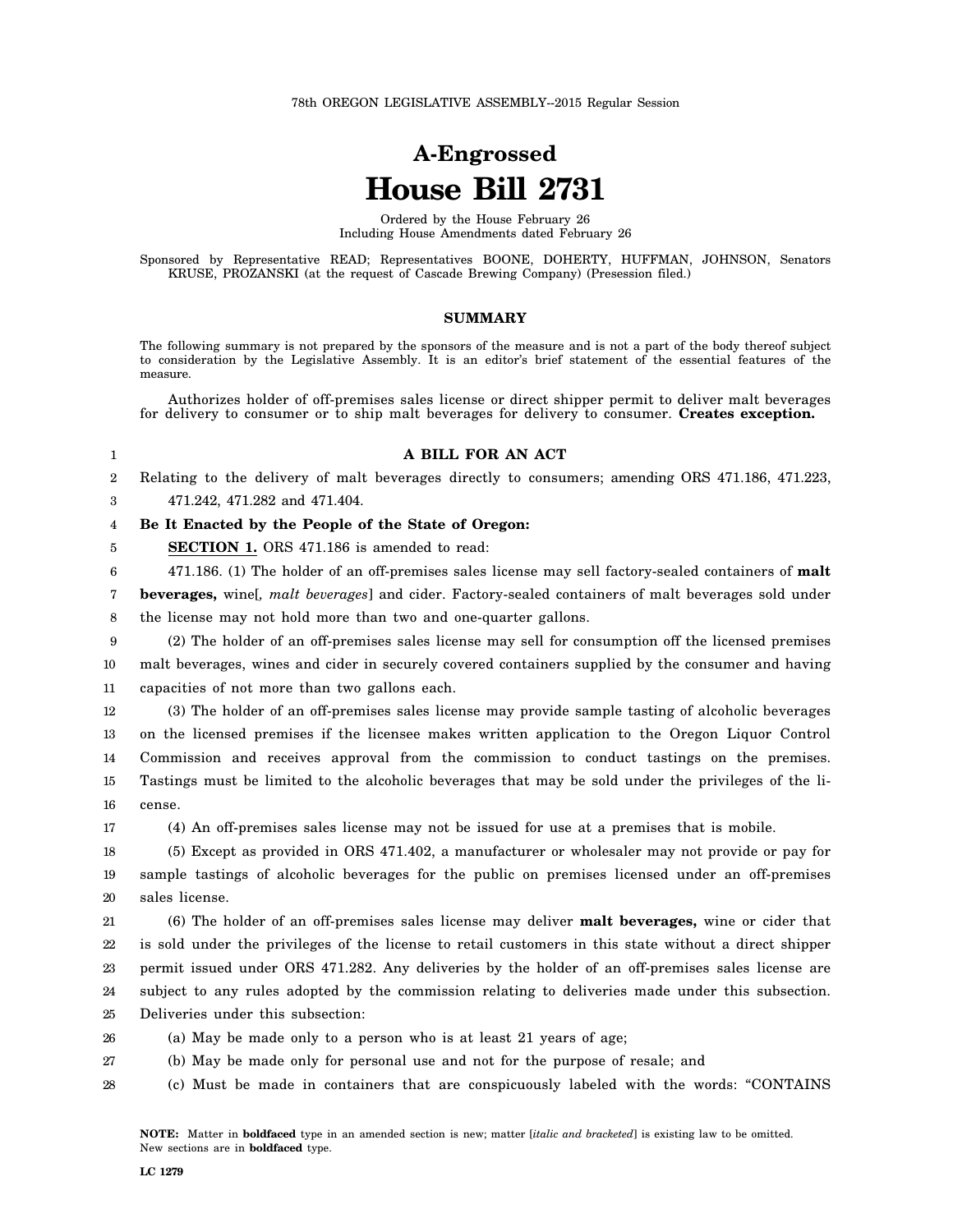# **A-Engrossed House Bill 2731**

Ordered by the House February 26 Including House Amendments dated February 26

Sponsored by Representative READ; Representatives BOONE, DOHERTY, HUFFMAN, JOHNSON, Senators KRUSE, PROZANSKI (at the request of Cascade Brewing Company) (Presession filed.)

### **SUMMARY**

The following summary is not prepared by the sponsors of the measure and is not a part of the body thereof subject to consideration by the Legislative Assembly. It is an editor's brief statement of the essential features of the measure.

Authorizes holder of off-premises sales license or direct shipper permit to deliver malt beverages for delivery to consumer or to ship malt beverages for delivery to consumer. **Creates exception.**

# **A BILL FOR AN ACT**

2 Relating to the delivery of malt beverages directly to consumers; amending ORS 471.186, 471.223,

3 471.242, 471.282 and 471.404.

1

5

#### 4 **Be It Enacted by the People of the State of Oregon:**

**SECTION 1.** ORS 471.186 is amended to read:

6 471.186. (1) The holder of an off-premises sales license may sell factory-sealed containers of **malt**

7 8 **beverages,** wine[*, malt beverages*] and cider. Factory-sealed containers of malt beverages sold under the license may not hold more than two and one-quarter gallons.

9 10 11 (2) The holder of an off-premises sales license may sell for consumption off the licensed premises malt beverages, wines and cider in securely covered containers supplied by the consumer and having capacities of not more than two gallons each.

12 13 14 15 16 (3) The holder of an off-premises sales license may provide sample tasting of alcoholic beverages on the licensed premises if the licensee makes written application to the Oregon Liquor Control Commission and receives approval from the commission to conduct tastings on the premises. Tastings must be limited to the alcoholic beverages that may be sold under the privileges of the license.

17 (4) An off-premises sales license may not be issued for use at a premises that is mobile.

18 19 20 (5) Except as provided in ORS 471.402, a manufacturer or wholesaler may not provide or pay for sample tastings of alcoholic beverages for the public on premises licensed under an off-premises sales license.

21 22 23 24 25 (6) The holder of an off-premises sales license may deliver **malt beverages,** wine or cider that is sold under the privileges of the license to retail customers in this state without a direct shipper permit issued under ORS 471.282. Any deliveries by the holder of an off-premises sales license are subject to any rules adopted by the commission relating to deliveries made under this subsection. Deliveries under this subsection:

- 26 (a) May be made only to a person who is at least 21 years of age;
- 27 (b) May be made only for personal use and not for the purpose of resale; and
- 28 (c) Must be made in containers that are conspicuously labeled with the words: "CONTAINS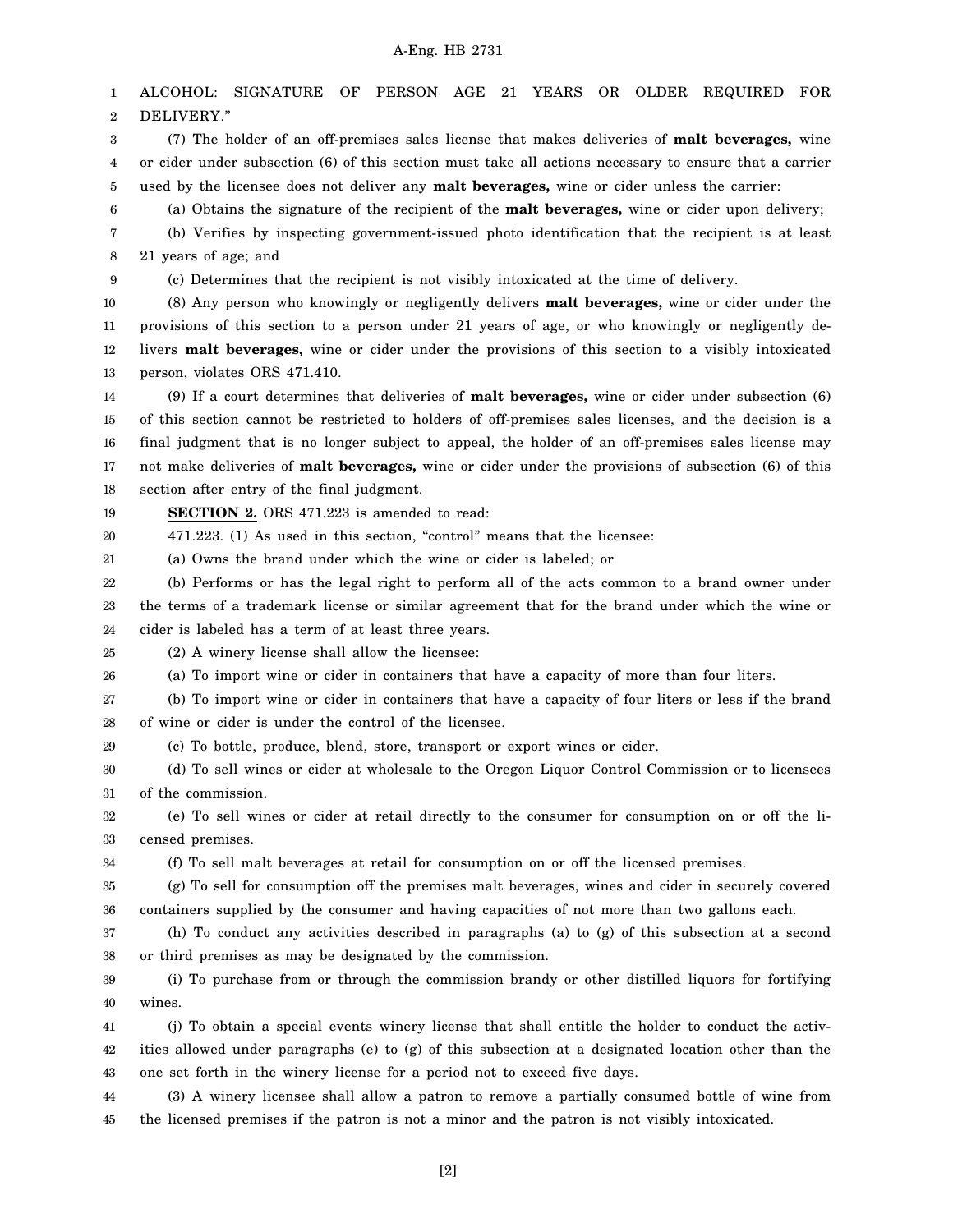1 2 3 4 5 6 7 8 9 10 11 12 13 14 15 16 17 18 19 20 21 22 23 24 25 26 27 28 29 30 31 32 33 34 35 36 37 38 39 40 41 42 43 44 45 ALCOHOL: SIGNATURE OF PERSON AGE 21 YEARS OR OLDER REQUIRED FOR DELIVERY." (7) The holder of an off-premises sales license that makes deliveries of **malt beverages,** wine or cider under subsection (6) of this section must take all actions necessary to ensure that a carrier used by the licensee does not deliver any **malt beverages,** wine or cider unless the carrier: (a) Obtains the signature of the recipient of the **malt beverages,** wine or cider upon delivery; (b) Verifies by inspecting government-issued photo identification that the recipient is at least 21 years of age; and (c) Determines that the recipient is not visibly intoxicated at the time of delivery. (8) Any person who knowingly or negligently delivers **malt beverages,** wine or cider under the provisions of this section to a person under 21 years of age, or who knowingly or negligently delivers **malt beverages,** wine or cider under the provisions of this section to a visibly intoxicated person, violates ORS 471.410. (9) If a court determines that deliveries of **malt beverages,** wine or cider under subsection (6) of this section cannot be restricted to holders of off-premises sales licenses, and the decision is a final judgment that is no longer subject to appeal, the holder of an off-premises sales license may not make deliveries of **malt beverages,** wine or cider under the provisions of subsection (6) of this section after entry of the final judgment. **SECTION 2.** ORS 471.223 is amended to read: 471.223. (1) As used in this section, "control" means that the licensee: (a) Owns the brand under which the wine or cider is labeled; or (b) Performs or has the legal right to perform all of the acts common to a brand owner under the terms of a trademark license or similar agreement that for the brand under which the wine or cider is labeled has a term of at least three years. (2) A winery license shall allow the licensee: (a) To import wine or cider in containers that have a capacity of more than four liters. (b) To import wine or cider in containers that have a capacity of four liters or less if the brand of wine or cider is under the control of the licensee. (c) To bottle, produce, blend, store, transport or export wines or cider. (d) To sell wines or cider at wholesale to the Oregon Liquor Control Commission or to licensees of the commission. (e) To sell wines or cider at retail directly to the consumer for consumption on or off the licensed premises. (f) To sell malt beverages at retail for consumption on or off the licensed premises. (g) To sell for consumption off the premises malt beverages, wines and cider in securely covered containers supplied by the consumer and having capacities of not more than two gallons each. (h) To conduct any activities described in paragraphs (a) to (g) of this subsection at a second or third premises as may be designated by the commission. (i) To purchase from or through the commission brandy or other distilled liquors for fortifying wines. (j) To obtain a special events winery license that shall entitle the holder to conduct the activities allowed under paragraphs (e) to (g) of this subsection at a designated location other than the one set forth in the winery license for a period not to exceed five days. (3) A winery licensee shall allow a patron to remove a partially consumed bottle of wine from the licensed premises if the patron is not a minor and the patron is not visibly intoxicated.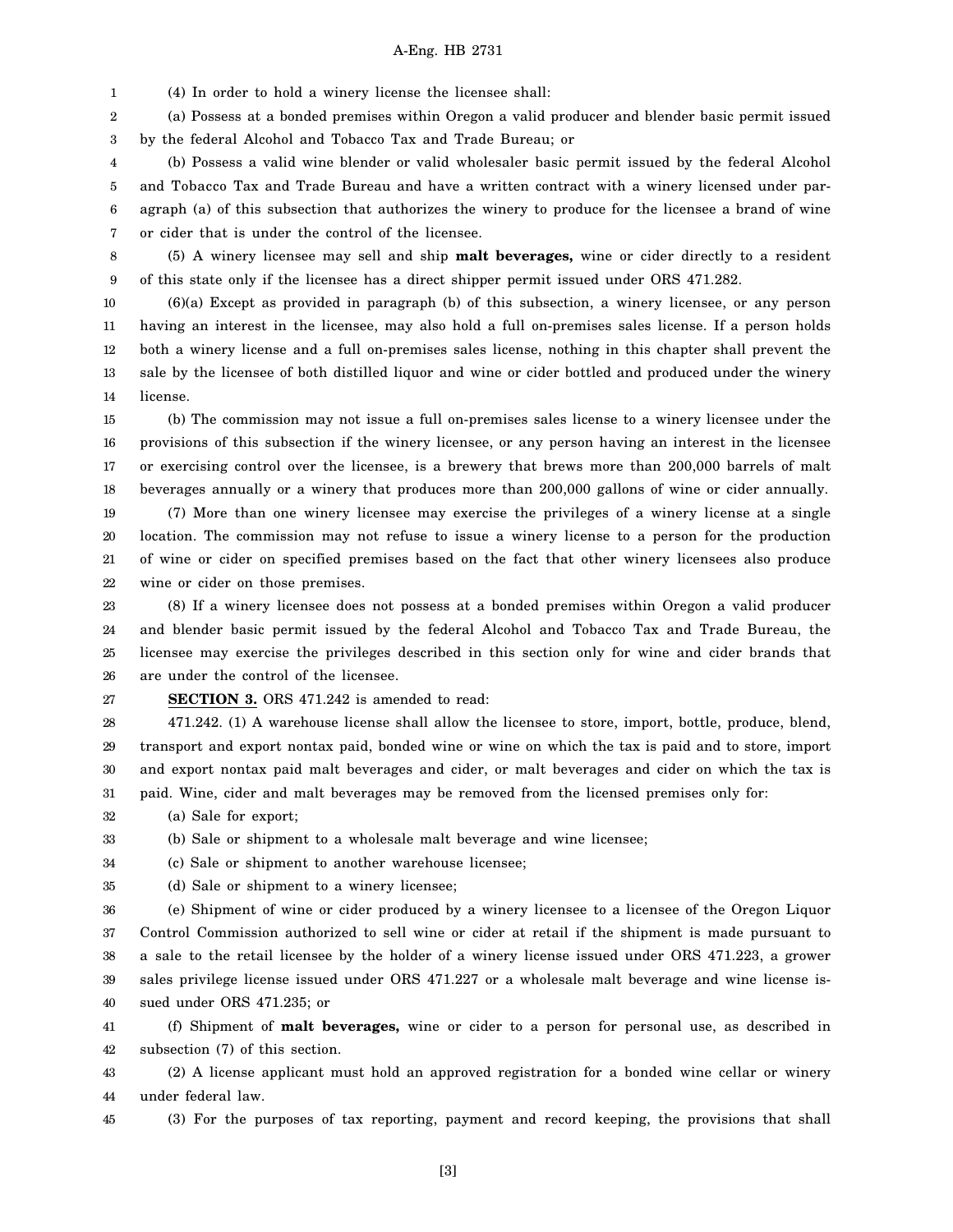1 (4) In order to hold a winery license the licensee shall:

2 3 (a) Possess at a bonded premises within Oregon a valid producer and blender basic permit issued by the federal Alcohol and Tobacco Tax and Trade Bureau; or

4 5 6 7 (b) Possess a valid wine blender or valid wholesaler basic permit issued by the federal Alcohol and Tobacco Tax and Trade Bureau and have a written contract with a winery licensed under paragraph (a) of this subsection that authorizes the winery to produce for the licensee a brand of wine or cider that is under the control of the licensee.

8 9 (5) A winery licensee may sell and ship **malt beverages,** wine or cider directly to a resident of this state only if the licensee has a direct shipper permit issued under ORS 471.282.

10 11 12 13 14 (6)(a) Except as provided in paragraph (b) of this subsection, a winery licensee, or any person having an interest in the licensee, may also hold a full on-premises sales license. If a person holds both a winery license and a full on-premises sales license, nothing in this chapter shall prevent the sale by the licensee of both distilled liquor and wine or cider bottled and produced under the winery license.

15 16 17 18 (b) The commission may not issue a full on-premises sales license to a winery licensee under the provisions of this subsection if the winery licensee, or any person having an interest in the licensee or exercising control over the licensee, is a brewery that brews more than 200,000 barrels of malt beverages annually or a winery that produces more than 200,000 gallons of wine or cider annually.

19 20 21 22 (7) More than one winery licensee may exercise the privileges of a winery license at a single location. The commission may not refuse to issue a winery license to a person for the production of wine or cider on specified premises based on the fact that other winery licensees also produce wine or cider on those premises.

23 24 25 26 (8) If a winery licensee does not possess at a bonded premises within Oregon a valid producer and blender basic permit issued by the federal Alcohol and Tobacco Tax and Trade Bureau, the licensee may exercise the privileges described in this section only for wine and cider brands that are under the control of the licensee.

27 **SECTION 3.** ORS 471.242 is amended to read:

28 29 30 31 471.242. (1) A warehouse license shall allow the licensee to store, import, bottle, produce, blend, transport and export nontax paid, bonded wine or wine on which the tax is paid and to store, import and export nontax paid malt beverages and cider, or malt beverages and cider on which the tax is paid. Wine, cider and malt beverages may be removed from the licensed premises only for:

32 (a) Sale for export;

33 (b) Sale or shipment to a wholesale malt beverage and wine licensee;

34 (c) Sale or shipment to another warehouse licensee;

35 (d) Sale or shipment to a winery licensee;

36 37 38 39 40 (e) Shipment of wine or cider produced by a winery licensee to a licensee of the Oregon Liquor Control Commission authorized to sell wine or cider at retail if the shipment is made pursuant to a sale to the retail licensee by the holder of a winery license issued under ORS 471.223, a grower sales privilege license issued under ORS 471.227 or a wholesale malt beverage and wine license issued under ORS 471.235; or

41 42 (f) Shipment of **malt beverages,** wine or cider to a person for personal use, as described in subsection (7) of this section.

43 44 (2) A license applicant must hold an approved registration for a bonded wine cellar or winery under federal law.

45 (3) For the purposes of tax reporting, payment and record keeping, the provisions that shall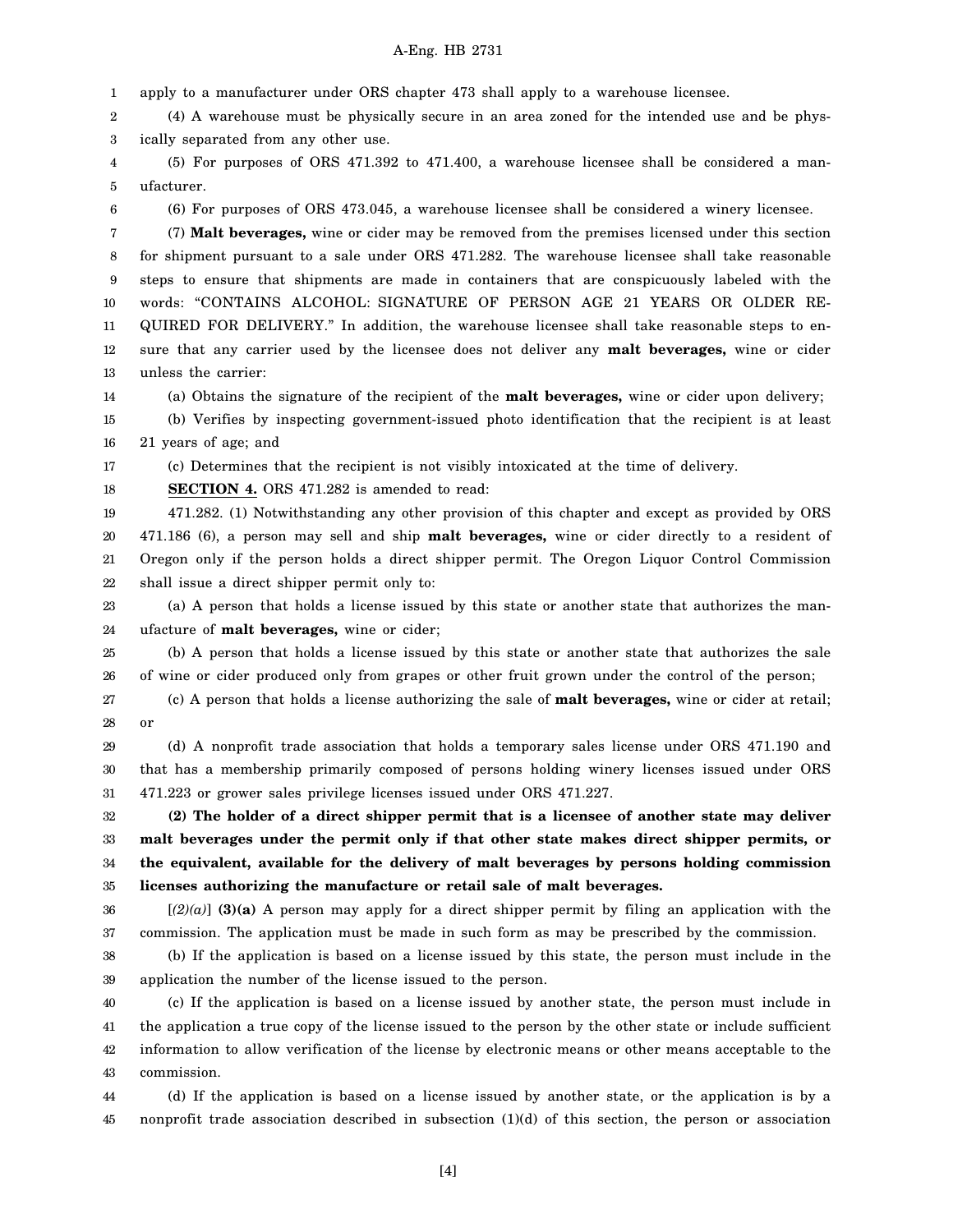1 apply to a manufacturer under ORS chapter 473 shall apply to a warehouse licensee.

2 3 (4) A warehouse must be physically secure in an area zoned for the intended use and be physically separated from any other use.

4 5 (5) For purposes of ORS 471.392 to 471.400, a warehouse licensee shall be considered a manufacturer.

6

(6) For purposes of ORS 473.045, a warehouse licensee shall be considered a winery licensee.

7 8 9 10 11 12 13 (7) **Malt beverages,** wine or cider may be removed from the premises licensed under this section for shipment pursuant to a sale under ORS 471.282. The warehouse licensee shall take reasonable steps to ensure that shipments are made in containers that are conspicuously labeled with the words: "CONTAINS ALCOHOL: SIGNATURE OF PERSON AGE 21 YEARS OR OLDER RE-QUIRED FOR DELIVERY." In addition, the warehouse licensee shall take reasonable steps to ensure that any carrier used by the licensee does not deliver any **malt beverages,** wine or cider unless the carrier:

14 (a) Obtains the signature of the recipient of the **malt beverages,** wine or cider upon delivery;

15 16 (b) Verifies by inspecting government-issued photo identification that the recipient is at least 21 years of age; and

17 (c) Determines that the recipient is not visibly intoxicated at the time of delivery.

18 **SECTION 4.** ORS 471.282 is amended to read:

19 20 21 22 471.282. (1) Notwithstanding any other provision of this chapter and except as provided by ORS 471.186 (6), a person may sell and ship **malt beverages,** wine or cider directly to a resident of Oregon only if the person holds a direct shipper permit. The Oregon Liquor Control Commission shall issue a direct shipper permit only to:

23 24 (a) A person that holds a license issued by this state or another state that authorizes the manufacture of **malt beverages,** wine or cider;

25 26 (b) A person that holds a license issued by this state or another state that authorizes the sale of wine or cider produced only from grapes or other fruit grown under the control of the person;

27 28 (c) A person that holds a license authorizing the sale of **malt beverages,** wine or cider at retail; or

29 30 31 (d) A nonprofit trade association that holds a temporary sales license under ORS 471.190 and that has a membership primarily composed of persons holding winery licenses issued under ORS 471.223 or grower sales privilege licenses issued under ORS 471.227.

32 33 34 35 **(2) The holder of a direct shipper permit that is a licensee of another state may deliver malt beverages under the permit only if that other state makes direct shipper permits, or the equivalent, available for the delivery of malt beverages by persons holding commission licenses authorizing the manufacture or retail sale of malt beverages.**

36 37 [*(2)(a)*] **(3)(a)** A person may apply for a direct shipper permit by filing an application with the commission. The application must be made in such form as may be prescribed by the commission.

38 39 (b) If the application is based on a license issued by this state, the person must include in the application the number of the license issued to the person.

40 41 42 43 (c) If the application is based on a license issued by another state, the person must include in the application a true copy of the license issued to the person by the other state or include sufficient information to allow verification of the license by electronic means or other means acceptable to the commission.

44 45 (d) If the application is based on a license issued by another state, or the application is by a nonprofit trade association described in subsection (1)(d) of this section, the person or association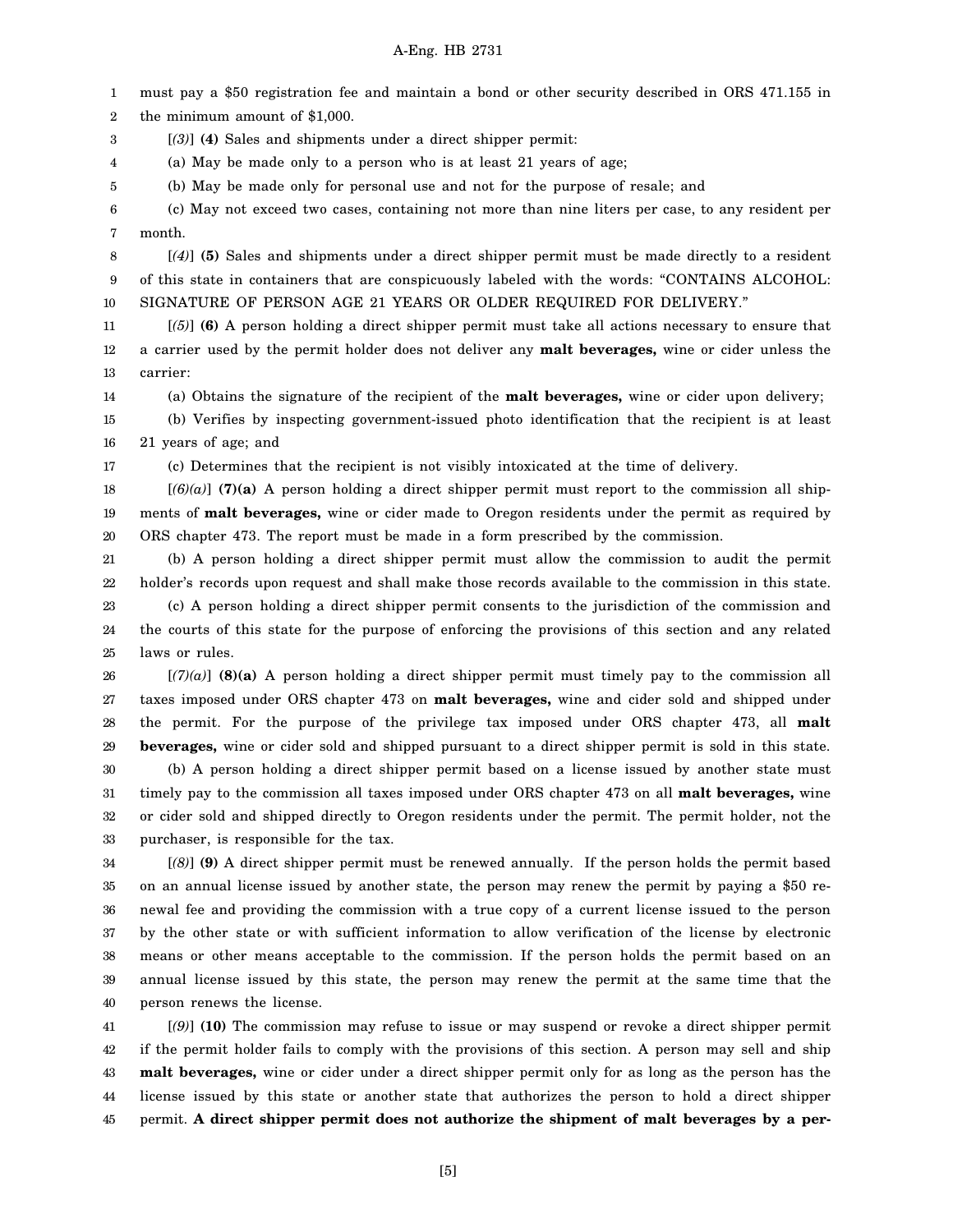1 2 must pay a \$50 registration fee and maintain a bond or other security described in ORS 471.155 in the minimum amount of \$1,000.

3 [*(3)*] **(4)** Sales and shipments under a direct shipper permit:

4 (a) May be made only to a person who is at least 21 years of age;

5 (b) May be made only for personal use and not for the purpose of resale; and

6 7 (c) May not exceed two cases, containing not more than nine liters per case, to any resident per month.

8 9 10 [*(4)*] **(5)** Sales and shipments under a direct shipper permit must be made directly to a resident of this state in containers that are conspicuously labeled with the words: "CONTAINS ALCOHOL: SIGNATURE OF PERSON AGE 21 YEARS OR OLDER REQUIRED FOR DELIVERY."

11 12 13 [*(5)*] **(6)** A person holding a direct shipper permit must take all actions necessary to ensure that a carrier used by the permit holder does not deliver any **malt beverages,** wine or cider unless the carrier:

14 (a) Obtains the signature of the recipient of the **malt beverages,** wine or cider upon delivery;

15 16 (b) Verifies by inspecting government-issued photo identification that the recipient is at least 21 years of age; and

17

(c) Determines that the recipient is not visibly intoxicated at the time of delivery.

18 19 20 [*(6)(a)*] **(7)(a)** A person holding a direct shipper permit must report to the commission all shipments of **malt beverages,** wine or cider made to Oregon residents under the permit as required by ORS chapter 473. The report must be made in a form prescribed by the commission.

21 22 23 24 25 (b) A person holding a direct shipper permit must allow the commission to audit the permit holder's records upon request and shall make those records available to the commission in this state. (c) A person holding a direct shipper permit consents to the jurisdiction of the commission and the courts of this state for the purpose of enforcing the provisions of this section and any related laws or rules.

26 27 28 29 30 31 32 33 [*(7)(a)*] **(8)(a)** A person holding a direct shipper permit must timely pay to the commission all taxes imposed under ORS chapter 473 on **malt beverages,** wine and cider sold and shipped under the permit. For the purpose of the privilege tax imposed under ORS chapter 473, all **malt beverages,** wine or cider sold and shipped pursuant to a direct shipper permit is sold in this state. (b) A person holding a direct shipper permit based on a license issued by another state must timely pay to the commission all taxes imposed under ORS chapter 473 on all **malt beverages,** wine or cider sold and shipped directly to Oregon residents under the permit. The permit holder, not the purchaser, is responsible for the tax.

34 35 36 37 38 39 40 [*(8)*] **(9)** A direct shipper permit must be renewed annually. If the person holds the permit based on an annual license issued by another state, the person may renew the permit by paying a \$50 renewal fee and providing the commission with a true copy of a current license issued to the person by the other state or with sufficient information to allow verification of the license by electronic means or other means acceptable to the commission. If the person holds the permit based on an annual license issued by this state, the person may renew the permit at the same time that the person renews the license.

41 42 43 44 45 [*(9)*] **(10)** The commission may refuse to issue or may suspend or revoke a direct shipper permit if the permit holder fails to comply with the provisions of this section. A person may sell and ship **malt beverages,** wine or cider under a direct shipper permit only for as long as the person has the license issued by this state or another state that authorizes the person to hold a direct shipper permit. **A direct shipper permit does not authorize the shipment of malt beverages by a per-**